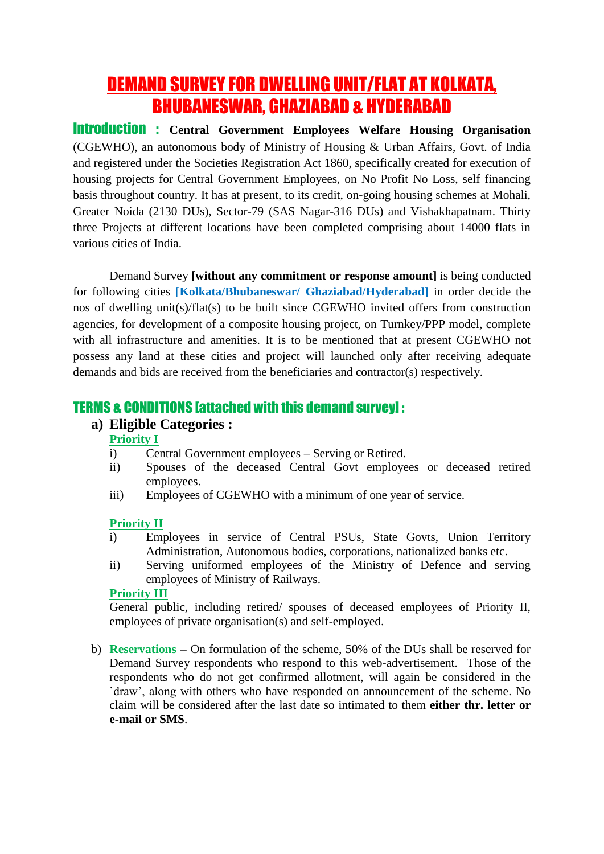# DEMAND SURVEY FOR DWELLING UNIT/FLAT AT KOLKATA, BHUBANESWAR, GHAZIABAD & HYDERABAD

Introduction : **Central Government Employees Welfare Housing Organisation** (CGEWHO), an autonomous body of Ministry of Housing & Urban Affairs, Govt. of India and registered under the Societies Registration Act 1860, specifically created for execution of housing projects for Central Government Employees, on No Profit No Loss, self financing basis throughout country. It has at present, to its credit, on-going housing schemes at Mohali, Greater Noida (2130 DUs), Sector-79 (SAS Nagar-316 DUs) and Vishakhapatnam. Thirty three Projects at different locations have been completed comprising about 14000 flats in various cities of India.

Demand Survey **[without any commitment or response amount]** is being conducted for following cities [**Kolkata/Bhubaneswar/ Ghaziabad/Hyderabad]** in order decide the nos of dwelling unit(s)/flat(s) to be built since CGEWHO invited offers from construction agencies, for development of a composite housing project, on Turnkey/PPP model, complete with all infrastructure and amenities. It is to be mentioned that at present CGEWHO not possess any land at these cities and project will launched only after receiving adequate demands and bids are received from the beneficiaries and contractor(s) respectively.

# TERMS & CONDITIONS [attached with this demand survey] :

## **a) Eligible Categories :**

### **Priority I**

- i) Central Government employees Serving or Retired.
- ii) Spouses of the deceased Central Govt employees or deceased retired employees.
- iii) Employees of CGEWHO with a minimum of one year of service.

#### **Priority II**

- i) Employees in service of Central PSUs, State Govts, Union Territory Administration, Autonomous bodies, corporations, nationalized banks etc.
- ii) Serving uniformed employees of the Ministry of Defence and serving employees of Ministry of Railways.

#### **Priority III**

General public, including retired/ spouses of deceased employees of Priority II, employees of private organisation(s) and self-employed.

b) **Reservations –** On formulation of the scheme, 50% of the DUs shall be reserved for Demand Survey respondents who respond to this web-advertisement. Those of the respondents who do not get confirmed allotment, will again be considered in the `draw', along with others who have responded on announcement of the scheme. No claim will be considered after the last date so intimated to them **either thr. letter or e-mail or SMS**.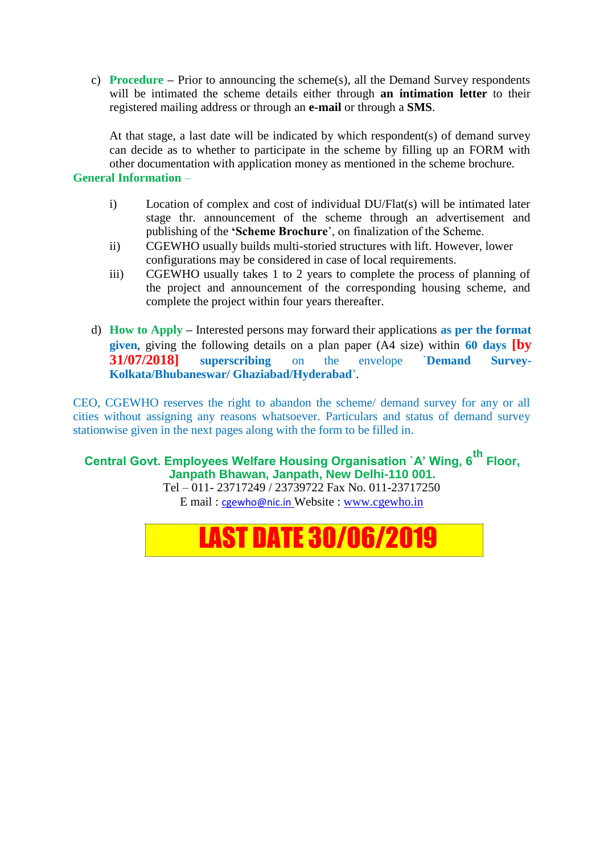c) **Procedure –** Prior to announcing the scheme(s), all the Demand Survey respondents will be intimated the scheme details either through **an intimation letter** to their registered mailing address or through an **e-mail** or through a **SMS**.

At that stage, a last date will be indicated by which respondent(s) of demand survey can decide as to whether to participate in the scheme by filling up an FORM with other documentation with application money as mentioned in the scheme brochure.

#### **General Information** –

- i) Location of complex and cost of individual DU/Flat(s) will be intimated later stage thr. announcement of the scheme through an advertisement and publishing of the **'Scheme Brochure**', on finalization of the Scheme.
- ii) CGEWHO usually builds multi-storied structures with lift. However, lower configurations may be considered in case of local requirements.
- iii) CGEWHO usually takes 1 to 2 years to complete the process of planning of the project and announcement of the corresponding housing scheme, and complete the project within four years thereafter.
- d) **How to Apply –** Interested persons may forward their applications **as per the format given**, giving the following details on a plan paper (A4 size) within **60 days [by 31/07/2018] superscribing** on the envelope `**Demand Survey-Kolkata/Bhubaneswar/ Ghaziabad/Hyderabad**'.

CEO, CGEWHO reserves the right to abandon the scheme/ demand survey for any or all cities without assigning any reasons whatsoever. Particulars and status of demand survey stationwise given in the next pages along with the form to be filled in.

**Central Govt. Employees Welfare Housing Organisation `A' Wing, 6th Floor, Janpath Bhawan, Janpath, New Delhi-110 001.**

Tel – 011- 23717249 / 23739722 Fax No. 011-23717250 E mail : [cgewho@nic.in](mailto:cgewho@nic.in) Website : [www.cgewho.in](http://www.cgewho.in/)

# LAST DATE 30/06/2019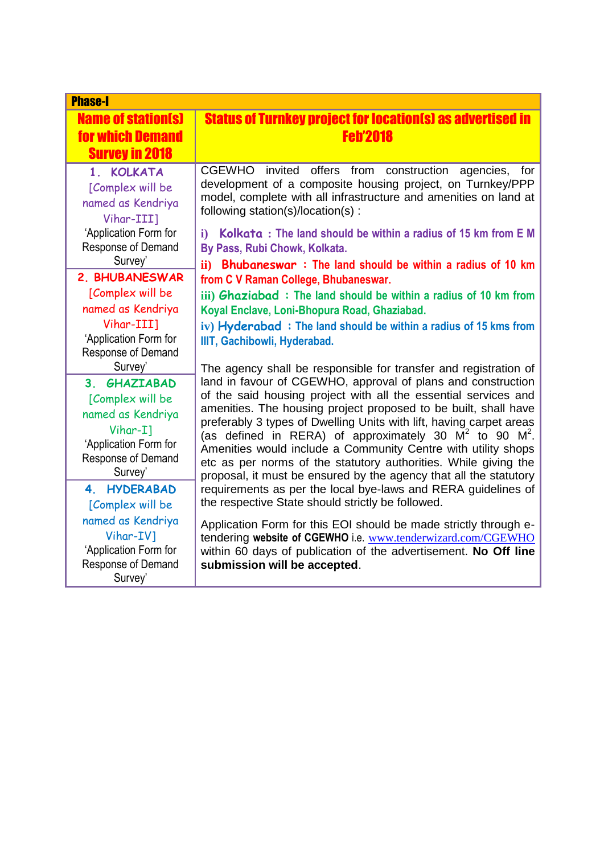| <b>Phase-I</b>                                                                                                                         |                                                                                                                                                                                                                                                                                                                                                                                                                                                                                                                                                                                                                        |  |  |  |  |  |  |
|----------------------------------------------------------------------------------------------------------------------------------------|------------------------------------------------------------------------------------------------------------------------------------------------------------------------------------------------------------------------------------------------------------------------------------------------------------------------------------------------------------------------------------------------------------------------------------------------------------------------------------------------------------------------------------------------------------------------------------------------------------------------|--|--|--|--|--|--|
| <b>Name of station(s)</b><br><b>for which Demand</b><br><b>Survey in 2018</b>                                                          | <b>Status of Turnkey project for location(s) as advertised in</b><br><b>Feh'2018</b>                                                                                                                                                                                                                                                                                                                                                                                                                                                                                                                                   |  |  |  |  |  |  |
| 1. KOLKATA<br>[Complex will be<br>named as Kendriya<br>Vihar-III]<br>'Application Form for<br>Response of Demand<br>Survey'            | <b>CGEWHO</b><br>invited<br>offers from<br>construction<br>agencies,<br>for<br>development of a composite housing project, on Turnkey/PPP<br>model, complete with all infrastructure and amenities on land at<br>following station(s)/location(s):<br>Kolkata: The land should be within a radius of 15 km from E M<br>$\mathbf{i}$<br>By Pass, Rubi Chowk, Kolkata.                                                                                                                                                                                                                                                   |  |  |  |  |  |  |
| 2. BHUBANESWAR<br>[Complex will be<br>named as Kendriya<br>Vihar-III]<br>'Application Form for<br>Response of Demand                   | ii) Bhubaneswar: The land should be within a radius of 10 km<br>from C V Raman College, Bhubaneswar.<br>iii) Ghaziabad: The land should be within a radius of 10 km from<br>Koyal Enclave, Loni-Bhopura Road, Ghaziabad.<br>iv) Hyderabad: The land should be within a radius of 15 kms from<br>IIIT, Gachibowli, Hyderabad.                                                                                                                                                                                                                                                                                           |  |  |  |  |  |  |
| Survey'<br>3. GHAZIABAD<br>[Complex will be<br>named as Kendriya<br>Vihar-I1<br>'Application Form for<br>Response of Demand<br>Survey' | The agency shall be responsible for transfer and registration of<br>land in favour of CGEWHO, approval of plans and construction<br>of the said housing project with all the essential services and<br>amenities. The housing project proposed to be built, shall have<br>preferably 3 types of Dwelling Units with lift, having carpet areas<br>(as defined in RERA) of approximately 30 $M^2$ to 90 $M^2$ .<br>Amenities would include a Community Centre with utility shops<br>etc as per norms of the statutory authorities. While giving the<br>proposal, it must be ensured by the agency that all the statutory |  |  |  |  |  |  |
| 4. HYDERABAD<br>[Complex will be<br>named as Kendriya<br>Vihar-IV]<br>'Application Form for<br>Response of Demand<br>Survey'           | requirements as per the local bye-laws and RERA guidelines of<br>the respective State should strictly be followed.<br>Application Form for this EOI should be made strictly through e-<br>tendering website of CGEWHO i.e. www.tenderwizard.com/CGEWHO<br>within 60 days of publication of the advertisement. No Off line<br>submission will be accepted.                                                                                                                                                                                                                                                              |  |  |  |  |  |  |